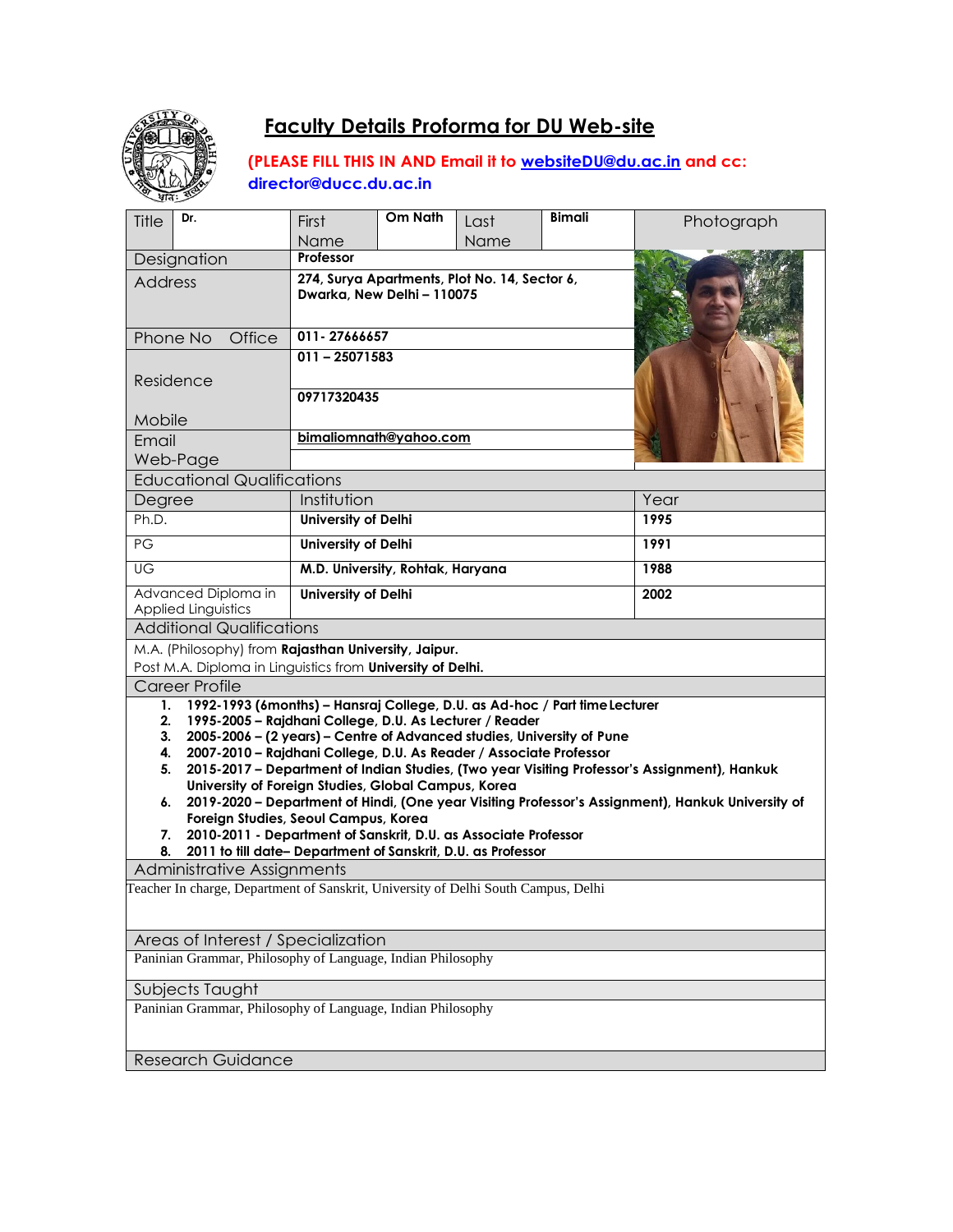

# **Faculty Details Proforma for DU Web-site**

**(PLEASE FILL THIS IN AND Email it to [websiteDU@du.ac.in](mailto:websiteDU@du.ac.in) and cc: [director@ducc.du.ac.in](mailto:director@ducc.du.ac.in)**

| Dr.<br>Title                                                                                                                                                                                                                                                                                                                                                                           | First                                                                       | Om Nath                          | Last | <b>Bimali</b> | Photograph |  |
|----------------------------------------------------------------------------------------------------------------------------------------------------------------------------------------------------------------------------------------------------------------------------------------------------------------------------------------------------------------------------------------|-----------------------------------------------------------------------------|----------------------------------|------|---------------|------------|--|
|                                                                                                                                                                                                                                                                                                                                                                                        | Name                                                                        |                                  | Name |               |            |  |
| Designation                                                                                                                                                                                                                                                                                                                                                                            | Professor                                                                   |                                  |      |               |            |  |
| <b>Address</b>                                                                                                                                                                                                                                                                                                                                                                         | 274, Surya Apartments, Plot No. 14, Sector 6,<br>Dwarka, New Delhi - 110075 |                                  |      |               |            |  |
| Phone No<br>Office                                                                                                                                                                                                                                                                                                                                                                     | 011-27666657                                                                |                                  |      |               |            |  |
| Residence                                                                                                                                                                                                                                                                                                                                                                              | $011 - 25071583$<br>09717320435                                             |                                  |      |               |            |  |
| Mobile                                                                                                                                                                                                                                                                                                                                                                                 |                                                                             |                                  |      |               |            |  |
| Email                                                                                                                                                                                                                                                                                                                                                                                  | bimaliomnath@yahoo.com                                                      |                                  |      |               |            |  |
| Web-Page                                                                                                                                                                                                                                                                                                                                                                               |                                                                             |                                  |      |               |            |  |
| <b>Educational Qualifications</b>                                                                                                                                                                                                                                                                                                                                                      |                                                                             |                                  |      |               |            |  |
| Degree                                                                                                                                                                                                                                                                                                                                                                                 | Institution                                                                 |                                  |      | Year          |            |  |
| Ph.D.                                                                                                                                                                                                                                                                                                                                                                                  | <b>University of Delhi</b>                                                  |                                  |      | 1995          |            |  |
| PG                                                                                                                                                                                                                                                                                                                                                                                     |                                                                             | <b>University of Delhi</b>       |      |               | 1991       |  |
| UG                                                                                                                                                                                                                                                                                                                                                                                     |                                                                             | M.D. University, Rohtak, Haryana |      |               | 1988       |  |
| Advanced Diploma in<br><b>Applied Linguistics</b>                                                                                                                                                                                                                                                                                                                                      | <b>University of Delhi</b>                                                  |                                  |      |               | 2002       |  |
| <b>Additional Qualifications</b>                                                                                                                                                                                                                                                                                                                                                       |                                                                             |                                  |      |               |            |  |
| M.A. (Philosophy) from Rajasthan University, Jaipur.                                                                                                                                                                                                                                                                                                                                   |                                                                             |                                  |      |               |            |  |
| Post M.A. Diploma in Linguistics from University of Delhi.                                                                                                                                                                                                                                                                                                                             |                                                                             |                                  |      |               |            |  |
| <b>Career Profile</b><br>1992-1993 (6months) - Hansraj College, D.U. as Ad-hoc / Part time Lecturer<br>1.                                                                                                                                                                                                                                                                              |                                                                             |                                  |      |               |            |  |
| 1995-2005 - Rajdhani College, D.U. As Lecturer / Reader<br>2.<br>3.<br>2005-2006 - (2 years) - Centre of Advanced studies, University of Pune<br>4.<br>2007-2010 - Rajdhani College, D.U. As Reader / Associate Professor<br>2015-2017 - Department of Indian Studies, (Two year Visiting Professor's Assignment), Hankuk<br>5.<br>University of Foreign Studies, Global Campus, Korea |                                                                             |                                  |      |               |            |  |
| 2019-2020 - Department of Hindi, (One year Visiting Professor's Assignment), Hankuk University of<br>6.<br>Foreign Studies, Seoul Campus, Korea<br>2010-2011 - Department of Sanskrit, D.U. as Associate Professor<br>7.<br>8.<br>2011 to till date- Department of Sanskrit, D.U. as Professor                                                                                         |                                                                             |                                  |      |               |            |  |
| <b>Administrative Assignments</b>                                                                                                                                                                                                                                                                                                                                                      |                                                                             |                                  |      |               |            |  |
| Teacher In charge, Department of Sanskrit, University of Delhi South Campus, Delhi                                                                                                                                                                                                                                                                                                     |                                                                             |                                  |      |               |            |  |
| Areas of Interest / Specialization                                                                                                                                                                                                                                                                                                                                                     |                                                                             |                                  |      |               |            |  |
| Paninian Grammar, Philosophy of Language, Indian Philosophy                                                                                                                                                                                                                                                                                                                            |                                                                             |                                  |      |               |            |  |
| Subjects Taught                                                                                                                                                                                                                                                                                                                                                                        |                                                                             |                                  |      |               |            |  |
| Paninian Grammar, Philosophy of Language, Indian Philosophy                                                                                                                                                                                                                                                                                                                            |                                                                             |                                  |      |               |            |  |
| <b>Research Guidance</b>                                                                                                                                                                                                                                                                                                                                                               |                                                                             |                                  |      |               |            |  |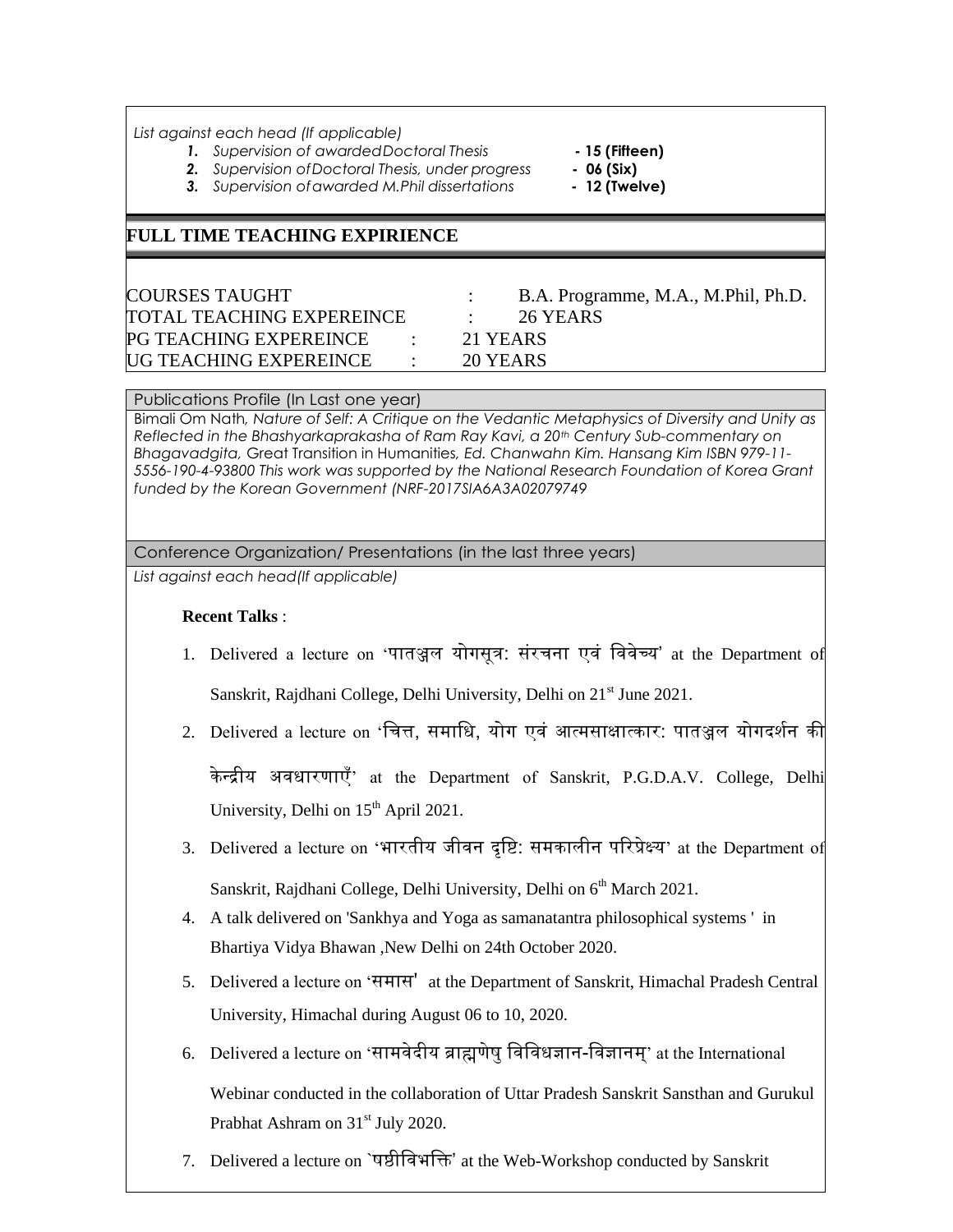*List against each head (If applicable)*

- *1. Supervision of awardedDoctoral Thesis* **- 15 (Fifteen)**
	-
- *2. Supervision ofDoctoral Thesis, under progress* **- 06 (Six)**
- *3. Supervision ofawarded M.Phil dissertations* **- 12 (Twelve)**

## **FULL TIME TEACHING EXPIRIENCE**

TOTAL TEACHING EXPEREINCE : 26 YEARS PG TEACHING EXPEREINCE : 21 YEARS UG TEACHING EXPEREINCE : 20 YEARS

COURSES TAUGHT : B.A. Programme, M.A., M.Phil, Ph.D.

#### Publications Profile (In Last one year)

Bimali Om Nath*, Nature of Self: A Critique on the Vedantic Metaphysics of Diversity and Unity as Reflected in the Bhashyarkaprakasha of Ram Ray Kavi, a 20th Century Sub-commentary on Bhagavadgita,* Great Transition in Humanities*, Ed. Chanwahn Kim. Hansang Kim ISBN 979-11- 5556-190-4-93800 This work was supported by the National Research Foundation of Korea Grant funded by the Korean Government (NRF-2017SIA6A3A02079749*

### Conference Organization/ Presentations (in the last three years)

*List against each head(If applicable)*

#### **Recent Talks** :

- 1. Delivered a lecture on 'पातञ्जल योगसूत्र: संरचना एवं वववेच्य' at the Department of Sanskrit, Rajdhani College, Delhi University, Delhi on 21<sup>st</sup> June 2021.
- 2. Delivered a lecture on 'वचत्त, समावि, योग एवं आत्मसाक्षात्कार: पातञ्जल योगदर्शन की

के न्द्रीय अविारणाएँ' at the Department of Sanskrit, P.G.D.A.V. College, Delhi University, Delhi on 15<sup>th</sup> April 2021.

- 3. Delivered a lecture on 'भारतीय जीवन दृवि: समकालीन पररप्रेक्ष्य' at the Department of Sanskrit, Rajdhani College, Delhi University, Delhi on 6<sup>th</sup> March 2021.
- 4. A talk delivered on 'Sankhya and Yoga as samanatantra philosophical systems ' in Bhartiya Vidya Bhawan ,New Delhi on 24th October 2020.
- 5. Delivered a lecture on 'समास' at the Department of Sanskrit, Himachal Pradesh Central University, Himachal during August 06 to 10, 2020.
- 6. Delivered a lecture on 'सामवेदीय ब्राह्मणेषुवववविज्ञान-ववज्ञानम्' at the International Webinar conducted in the collaboration of Uttar Pradesh Sanskrit Sansthan and Gurukul

Prabhat Ashram on 31<sup>st</sup> July 2020.

7. Delivered a lecture on `षष्ठीववभवि' at the Web-Workshop conducted by Sanskrit